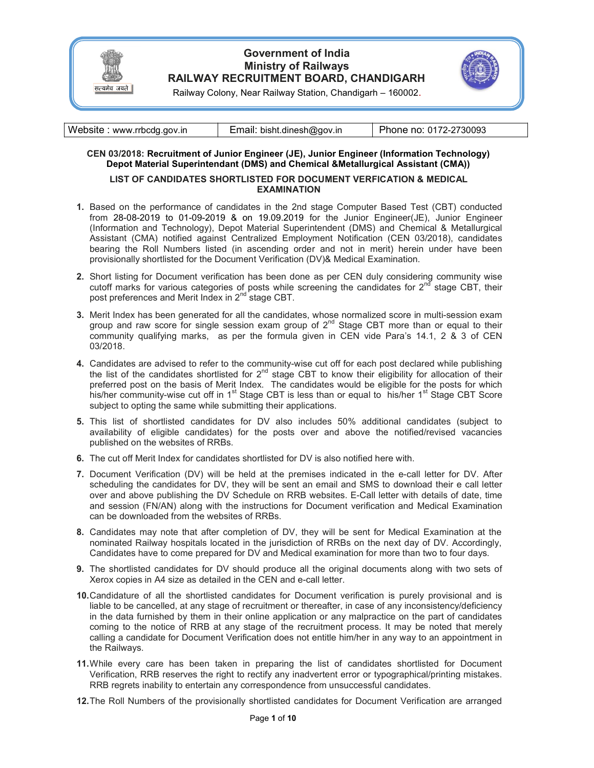

## Government of India Ministry of Railways RAILWAY RECRUITMENT BOARD, CHANDIGARH



Railway Colony, Near Railway Station, Chandigarh – 160002.

| Website: www.rrbcdg.gov.in | Email: bisht.dinesh@gov.in | Phone no: 0172-2730093 |
|----------------------------|----------------------------|------------------------|
|----------------------------|----------------------------|------------------------|

### CEN 03/2018: Recruitment of Junior Engineer (JE), Junior Engineer (Information Technology) Depot Material Superintendant (DMS) and Chemical &Metallurgical Assistant (CMA))

#### LIST OF CANDIDATES SHORTLISTED FOR DOCUMENT VERFICATION & MEDICAL EXAMINATION

- 1. Based on the performance of candidates in the 2nd stage Computer Based Test (CBT) conducted from 28-08-2019 to 01-09-2019 & on 19.09.2019 for the Junior Engineer(JE), Junior Engineer (Information and Technology), Depot Material Superintendent (DMS) and Chemical & Metallurgical Assistant (CMA) notified against Centralized Employment Notification (CEN 03/2018), candidates bearing the Roll Numbers listed (in ascending order and not in merit) herein under have been provisionally shortlisted for the Document Verification (DV)& Medical Examination.
- 2. Short listing for Document verification has been done as per CEN duly considering community wise cutoff marks for various categories of posts while screening the candidates for  $2<sup>nd</sup>$  stage CBT, their post preferences and Merit Index in 2<sup>nd</sup> stage CBT.
- 3. Merit Index has been generated for all the candidates, whose normalized score in multi-session exam group and raw score for single session exam group of  $2^{nd}$  Stage CBT more than or equal to their community qualifying marks, as per the formula given in CEN vide Para's 14.1, 2 & 3 of CEN 03/2018.
- 4. Candidates are advised to refer to the community-wise cut off for each post declared while publishing the list of the candidates shortlisted for  $2<sup>nd</sup>$  stage CBT to know their eligibility for allocation of their preferred post on the basis of Merit Index. The candidates would be eligible for the posts for which his/her community-wise cut off in 1<sup>st</sup> Stage CBT is less than or equal to his/her 1<sup>st</sup> Stage CBT Score subject to opting the same while submitting their applications.
- 5. This list of shortlisted candidates for DV also includes 50% additional candidates (subject to availability of eligible candidates) for the posts over and above the notified/revised vacancies published on the websites of RRBs.
- 6. The cut off Merit Index for candidates shortlisted for DV is also notified here with.
- 7. Document Verification (DV) will be held at the premises indicated in the e-call letter for DV. After scheduling the candidates for DV, they will be sent an email and SMS to download their e call letter over and above publishing the DV Schedule on RRB websites. E-Call letter with details of date, time and session (FN/AN) along with the instructions for Document verification and Medical Examination can be downloaded from the websites of RRBs.
- 8. Candidates may note that after completion of DV, they will be sent for Medical Examination at the nominated Railway hospitals located in the jurisdiction of RRBs on the next day of DV. Accordingly, Candidates have to come prepared for DV and Medical examination for more than two to four days.
- 9. The shortlisted candidates for DV should produce all the original documents along with two sets of Xerox copies in A4 size as detailed in the CEN and e-call letter.
- 10. Candidature of all the shortlisted candidates for Document verification is purely provisional and is liable to be cancelled, at any stage of recruitment or thereafter, in case of any inconsistency/deficiency in the data furnished by them in their online application or any malpractice on the part of candidates coming to the notice of RRB at any stage of the recruitment process. It may be noted that merely calling a candidate for Document Verification does not entitle him/her in any way to an appointment in the Railways.
- 11. While every care has been taken in preparing the list of candidates shortlisted for Document Verification, RRB reserves the right to rectify any inadvertent error or typographical/printing mistakes. RRB regrets inability to entertain any correspondence from unsuccessful candidates.
- 12. The Roll Numbers of the provisionally shortlisted candidates for Document Verification are arranged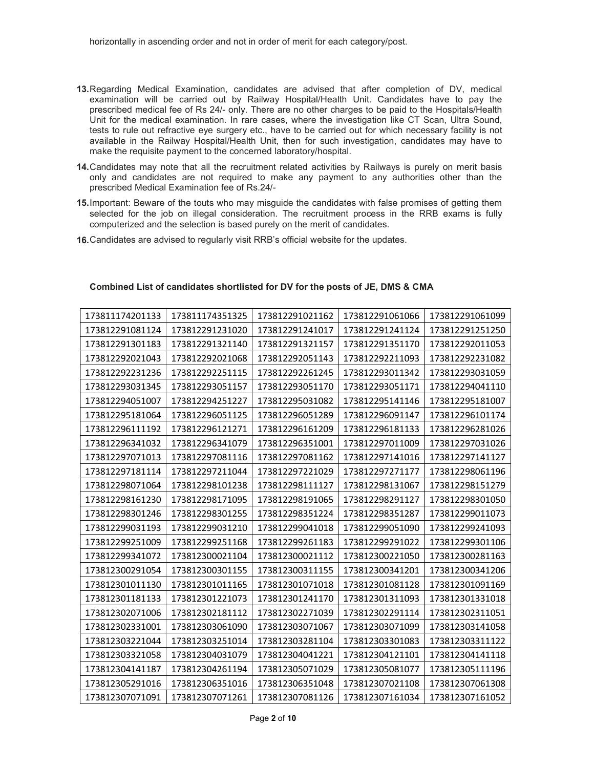- 13. Regarding Medical Examination, candidates are advised that after completion of DV, medical examination will be carried out by Railway Hospital/Health Unit. Candidates have to pay the prescribed medical fee of Rs 24/- only. There are no other charges to be paid to the Hospitals/Health Unit for the medical examination. In rare cases, where the investigation like CT Scan, Ultra Sound, tests to rule out refractive eye surgery etc., have to be carried out for which necessary facility is not available in the Railway Hospital/Health Unit, then for such investigation, candidates may have to make the requisite payment to the concerned laboratory/hospital.
- 14. Candidates may note that all the recruitment related activities by Railways is purely on merit basis only and candidates are not required to make any payment to any authorities other than the prescribed Medical Examination fee of Rs.24/-
- 15. Important: Beware of the touts who may misguide the candidates with false promises of getting them selected for the job on illegal consideration. The recruitment process in the RRB exams is fully computerized and the selection is based purely on the merit of candidates.
- 16. Candidates are advised to regularly visit RRB's official website for the updates.

| 173811174201133 | 173811174351325 | 173812291021162 | 173812291061066 | 173812291061099 |
|-----------------|-----------------|-----------------|-----------------|-----------------|
| 173812291081124 | 173812291231020 | 173812291241017 | 173812291241124 | 173812291251250 |
| 173812291301183 | 173812291321140 | 173812291321157 | 173812291351170 | 173812292011053 |
| 173812292021043 | 173812292021068 | 173812292051143 | 173812292211093 | 173812292231082 |
| 173812292231236 | 173812292251115 | 173812292261245 | 173812293011342 | 173812293031059 |
| 173812293031345 | 173812293051157 | 173812293051170 | 173812293051171 | 173812294041110 |
| 173812294051007 | 173812294251227 | 173812295031082 | 173812295141146 | 173812295181007 |
| 173812295181064 | 173812296051125 | 173812296051289 | 173812296091147 | 173812296101174 |
| 173812296111192 | 173812296121271 | 173812296161209 | 173812296181133 | 173812296281026 |
| 173812296341032 | 173812296341079 | 173812296351001 | 173812297011009 | 173812297031026 |
| 173812297071013 | 173812297081116 | 173812297081162 | 173812297141016 | 173812297141127 |
| 173812297181114 | 173812297211044 | 173812297221029 | 173812297271177 | 173812298061196 |
| 173812298071064 | 173812298101238 | 173812298111127 | 173812298131067 | 173812298151279 |
| 173812298161230 | 173812298171095 | 173812298191065 | 173812298291127 | 173812298301050 |
| 173812298301246 | 173812298301255 | 173812298351224 | 173812298351287 | 173812299011073 |
| 173812299031193 | 173812299031210 | 173812299041018 | 173812299051090 | 173812299241093 |
| 173812299251009 | 173812299251168 | 173812299261183 | 173812299291022 | 173812299301106 |
| 173812299341072 | 173812300021104 | 173812300021112 | 173812300221050 | 173812300281163 |
| 173812300291054 | 173812300301155 | 173812300311155 | 173812300341201 | 173812300341206 |
| 173812301011130 | 173812301011165 | 173812301071018 | 173812301081128 | 173812301091169 |
| 173812301181133 | 173812301221073 | 173812301241170 | 173812301311093 | 173812301331018 |
| 173812302071006 | 173812302181112 | 173812302271039 | 173812302291114 | 173812302311051 |
| 173812302331001 | 173812303061090 | 173812303071067 | 173812303071099 | 173812303141058 |
| 173812303221044 | 173812303251014 | 173812303281104 | 173812303301083 | 173812303311122 |
| 173812303321058 | 173812304031079 | 173812304041221 | 173812304121101 | 173812304141118 |
| 173812304141187 | 173812304261194 | 173812305071029 | 173812305081077 | 173812305111196 |
| 173812305291016 | 173812306351016 | 173812306351048 | 173812307021108 | 173812307061308 |
| 173812307071091 | 173812307071261 | 173812307081126 | 173812307161034 | 173812307161052 |

#### Combined List of candidates shortlisted for DV for the posts of JE, DMS & CMA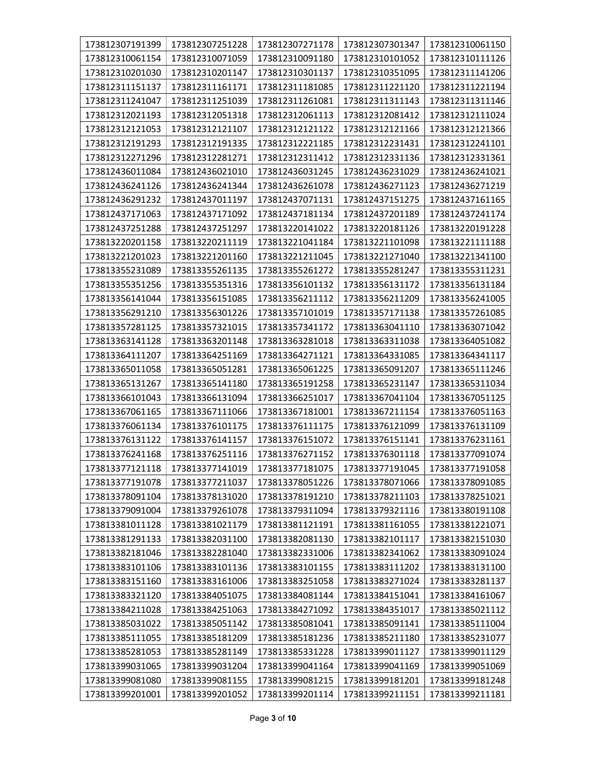| 173812307191399 | 173812307251228 | 173812307271178 | 173812307301347 | 173812310061150 |
|-----------------|-----------------|-----------------|-----------------|-----------------|
| 173812310061154 | 173812310071059 | 173812310091180 | 173812310101052 | 173812310111126 |
| 173812310201030 | 173812310201147 | 173812310301137 | 173812310351095 | 173812311141206 |
| 173812311151137 | 173812311161171 | 173812311181085 | 173812311221120 | 173812311221194 |
| 173812311241047 | 173812311251039 | 173812311261081 | 173812311311143 | 173812311311146 |
| 173812312021193 | 173812312051318 | 173812312061113 | 173812312081412 | 173812312111024 |
| 173812312121053 | 173812312121107 | 173812312121122 | 173812312121166 | 173812312121366 |
| 173812312191293 | 173812312191335 | 173812312221185 | 173812312231431 | 173812312241101 |
| 173812312271296 | 173812312281271 | 173812312311412 | 173812312331136 | 173812312331361 |
| 173812436011084 | 173812436021010 | 173812436031245 | 173812436231029 | 173812436241021 |
| 173812436241126 | 173812436241344 | 173812436261078 | 173812436271123 | 173812436271219 |
| 173812436291232 | 173812437011197 | 173812437071131 | 173812437151275 | 173812437161165 |
| 173812437171063 | 173812437171092 | 173812437181134 | 173812437201189 | 173812437241174 |
| 173812437251288 | 173812437251297 | 173813220141022 | 173813220181126 | 173813220191228 |
| 173813220201158 | 173813220211119 | 173813221041184 | 173813221101098 | 173813221111188 |
| 173813221201023 | 173813221201160 | 173813221211045 | 173813221271040 | 173813221341100 |
| 173813355231089 | 173813355261135 | 173813355261272 | 173813355281247 | 173813355311231 |
| 173813355351256 | 173813355351316 | 173813356101132 | 173813356131172 | 173813356131184 |
| 173813356141044 | 173813356151085 | 173813356211112 | 173813356211209 | 173813356241005 |
| 173813356291210 | 173813356301226 | 173813357101019 | 173813357171138 | 173813357261085 |
| 173813357281125 | 173813357321015 | 173813357341172 | 173813363041110 | 173813363071042 |
| 173813363141128 | 173813363201148 | 173813363281018 | 173813363311038 | 173813364051082 |
| 173813364111207 | 173813364251169 | 173813364271121 | 173813364331085 | 173813364341117 |
| 173813365011058 | 173813365051281 | 173813365061225 | 173813365091207 | 173813365111246 |
| 173813365131267 | 173813365141180 | 173813365191258 | 173813365231147 | 173813365311034 |
| 173813366101043 | 173813366131094 | 173813366251017 | 173813367041104 | 173813367051125 |
| 173813367061165 | 173813367111066 | 173813367181001 | 173813367211154 | 173813376051163 |
| 173813376061134 | 173813376101175 | 173813376111175 | 173813376121099 | 173813376131109 |
| 173813376131122 | 173813376141157 | 173813376151072 | 173813376151141 | 173813376231161 |
| 173813376241168 | 173813376251116 | 173813376271152 | 173813376301118 | 173813377091074 |
| 173813377121118 | 173813377141019 | 173813377181075 | 173813377191045 | 173813377191058 |
| 173813377191078 | 173813377211037 | 173813378051226 | 173813378071066 | 173813378091085 |
| 173813378091104 | 173813378131020 | 173813378191210 | 173813378211103 | 173813378251021 |
| 173813379091004 | 173813379261078 | 173813379311094 | 173813379321116 | 173813380191108 |
| 173813381011128 | 173813381021179 | 173813381121191 | 173813381161055 | 173813381221071 |
| 173813381291133 | 173813382031100 | 173813382081130 | 173813382101117 | 173813382151030 |
| 173813382181046 | 173813382281040 | 173813382331006 | 173813382341062 | 173813383091024 |
| 173813383101106 | 173813383101136 | 173813383101155 | 173813383111202 | 173813383131100 |
| 173813383151160 | 173813383161006 | 173813383251058 | 173813383271024 | 173813383281137 |
| 173813383321120 | 173813384051075 | 173813384081144 | 173813384151041 | 173813384161067 |
| 173813384211028 | 173813384251063 | 173813384271092 | 173813384351017 | 173813385021112 |
| 173813385031022 | 173813385051142 | 173813385081041 | 173813385091141 | 173813385111004 |
| 173813385111055 | 173813385181209 | 173813385181236 | 173813385211180 | 173813385231077 |
| 173813385281053 | 173813385281149 | 173813385331228 | 173813399011127 | 173813399011129 |
| 173813399031065 | 173813399031204 | 173813399041164 | 173813399041169 | 173813399051069 |
| 173813399081080 | 173813399081155 | 173813399081215 | 173813399181201 | 173813399181248 |
| 173813399201001 | 173813399201052 | 173813399201114 | 173813399211151 | 173813399211181 |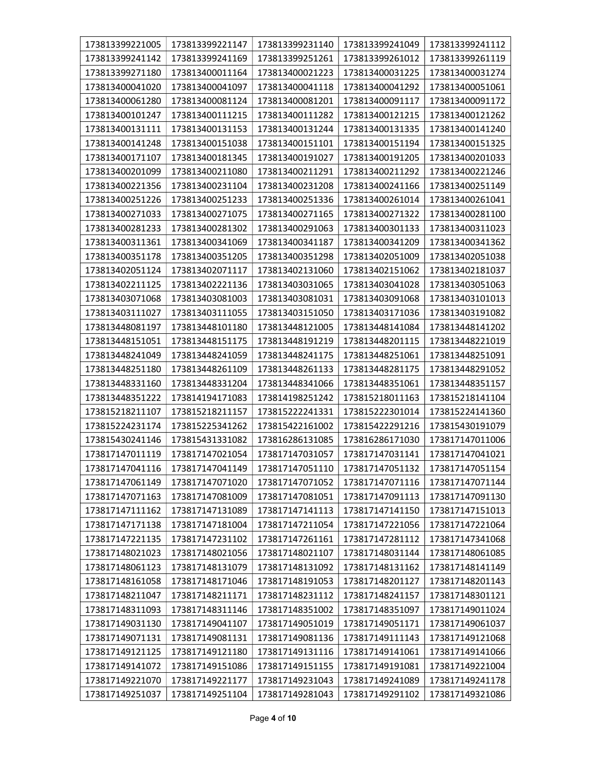| 173813399221005 | 173813399221147 | 173813399231140 | 173813399241049 | 173813399241112 |
|-----------------|-----------------|-----------------|-----------------|-----------------|
| 173813399241142 | 173813399241169 | 173813399251261 | 173813399261012 | 173813399261119 |
| 173813399271180 | 173813400011164 | 173813400021223 | 173813400031225 | 173813400031274 |
| 173813400041020 | 173813400041097 | 173813400041118 | 173813400041292 | 173813400051061 |
| 173813400061280 | 173813400081124 | 173813400081201 | 173813400091117 | 173813400091172 |
| 173813400101247 | 173813400111215 | 173813400111282 | 173813400121215 | 173813400121262 |
| 173813400131111 | 173813400131153 | 173813400131244 | 173813400131335 | 173813400141240 |
| 173813400141248 | 173813400151038 | 173813400151101 | 173813400151194 | 173813400151325 |
| 173813400171107 | 173813400181345 | 173813400191027 | 173813400191205 | 173813400201033 |
| 173813400201099 | 173813400211080 | 173813400211291 | 173813400211292 | 173813400221246 |
| 173813400221356 | 173813400231104 | 173813400231208 | 173813400241166 | 173813400251149 |
| 173813400251226 | 173813400251233 | 173813400251336 | 173813400261014 | 173813400261041 |
| 173813400271033 | 173813400271075 | 173813400271165 | 173813400271322 | 173813400281100 |
| 173813400281233 | 173813400281302 | 173813400291063 | 173813400301133 | 173813400311023 |
| 173813400311361 | 173813400341069 | 173813400341187 | 173813400341209 | 173813400341362 |
| 173813400351178 | 173813400351205 | 173813400351298 | 173813402051009 | 173813402051038 |
| 173813402051124 | 173813402071117 | 173813402131060 | 173813402151062 | 173813402181037 |
| 173813402211125 | 173813402221136 | 173813403031065 | 173813403041028 | 173813403051063 |
| 173813403071068 | 173813403081003 | 173813403081031 | 173813403091068 | 173813403101013 |
| 173813403111027 | 173813403111055 | 173813403151050 | 173813403171036 | 173813403191082 |
| 173813448081197 | 173813448101180 | 173813448121005 | 173813448141084 | 173813448141202 |
| 173813448151051 | 173813448151175 | 173813448191219 | 173813448201115 | 173813448221019 |
| 173813448241049 | 173813448241059 | 173813448241175 | 173813448251061 | 173813448251091 |
| 173813448251180 | 173813448261109 | 173813448261133 | 173813448281175 | 173813448291052 |
| 173813448331160 | 173813448331204 | 173813448341066 | 173813448351061 | 173813448351157 |
| 173813448351222 | 173814194171083 | 173814198251242 | 173815218011163 | 173815218141104 |
| 173815218211107 | 173815218211157 | 173815222241331 | 173815222301014 | 173815224141360 |
| 173815224231174 | 173815225341262 | 173815422161002 | 173815422291216 | 173815430191079 |
| 173815430241146 | 173815431331082 | 173816286131085 | 173816286171030 | 173817147011006 |
| 173817147011119 | 173817147021054 | 173817147031057 | 173817147031141 | 173817147041021 |
| 173817147041116 | 173817147041149 | 173817147051110 | 173817147051132 | 173817147051154 |
| 173817147061149 | 173817147071020 | 173817147071052 | 173817147071116 | 173817147071144 |
| 173817147071163 | 173817147081009 | 173817147081051 | 173817147091113 | 173817147091130 |
| 173817147111162 | 173817147131089 | 173817147141113 | 173817147141150 | 173817147151013 |
| 173817147171138 | 173817147181004 | 173817147211054 | 173817147221056 | 173817147221064 |
| 173817147221135 | 173817147231102 | 173817147261161 | 173817147281112 | 173817147341068 |
| 173817148021023 | 173817148021056 | 173817148021107 | 173817148031144 | 173817148061085 |
| 173817148061123 | 173817148131079 | 173817148131092 | 173817148131162 | 173817148141149 |
| 173817148161058 | 173817148171046 | 173817148191053 | 173817148201127 | 173817148201143 |
| 173817148211047 | 173817148211171 | 173817148231112 | 173817148241157 | 173817148301121 |
| 173817148311093 | 173817148311146 | 173817148351002 | 173817148351097 | 173817149011024 |
| 173817149031130 | 173817149041107 | 173817149051019 | 173817149051171 | 173817149061037 |
| 173817149071131 | 173817149081131 | 173817149081136 | 173817149111143 | 173817149121068 |
| 173817149121125 | 173817149121180 | 173817149131116 | 173817149141061 | 173817149141066 |
| 173817149141072 | 173817149151086 | 173817149151155 | 173817149191081 | 173817149221004 |
| 173817149221070 | 173817149221177 | 173817149231043 | 173817149241089 | 173817149241178 |
| 173817149251037 | 173817149251104 | 173817149281043 | 173817149291102 | 173817149321086 |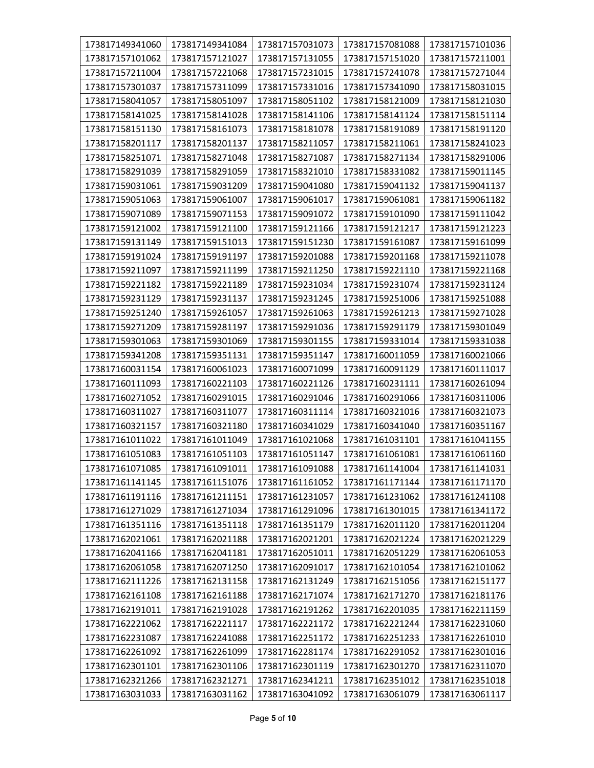| 173817149341060 | 173817149341084 | 173817157031073 | 173817157081088 | 173817157101036 |
|-----------------|-----------------|-----------------|-----------------|-----------------|
| 173817157101062 | 173817157121027 | 173817157131055 | 173817157151020 | 173817157211001 |
| 173817157211004 | 173817157221068 | 173817157231015 | 173817157241078 | 173817157271044 |
| 173817157301037 | 173817157311099 | 173817157331016 | 173817157341090 | 173817158031015 |
| 173817158041057 | 173817158051097 | 173817158051102 | 173817158121009 | 173817158121030 |
| 173817158141025 | 173817158141028 | 173817158141106 | 173817158141124 | 173817158151114 |
| 173817158151130 | 173817158161073 | 173817158181078 | 173817158191089 | 173817158191120 |
| 173817158201117 | 173817158201137 | 173817158211057 | 173817158211061 | 173817158241023 |
| 173817158251071 | 173817158271048 | 173817158271087 | 173817158271134 | 173817158291006 |
| 173817158291039 | 173817158291059 | 173817158321010 | 173817158331082 | 173817159011145 |
| 173817159031061 | 173817159031209 | 173817159041080 | 173817159041132 | 173817159041137 |
| 173817159051063 | 173817159061007 | 173817159061017 | 173817159061081 | 173817159061182 |
| 173817159071089 | 173817159071153 | 173817159091072 | 173817159101090 | 173817159111042 |
| 173817159121002 | 173817159121100 | 173817159121166 | 173817159121217 | 173817159121223 |
| 173817159131149 | 173817159151013 | 173817159151230 | 173817159161087 | 173817159161099 |
| 173817159191024 | 173817159191197 | 173817159201088 | 173817159201168 | 173817159211078 |
| 173817159211097 | 173817159211199 | 173817159211250 | 173817159221110 | 173817159221168 |
| 173817159221182 | 173817159221189 | 173817159231034 | 173817159231074 | 173817159231124 |
| 173817159231129 | 173817159231137 | 173817159231245 | 173817159251006 | 173817159251088 |
| 173817159251240 | 173817159261057 | 173817159261063 | 173817159261213 | 173817159271028 |
| 173817159271209 | 173817159281197 | 173817159291036 | 173817159291179 | 173817159301049 |
| 173817159301063 | 173817159301069 | 173817159301155 | 173817159331014 | 173817159331038 |
| 173817159341208 | 173817159351131 | 173817159351147 | 173817160011059 | 173817160021066 |
| 173817160031154 | 173817160061023 | 173817160071099 | 173817160091129 | 173817160111017 |
| 173817160111093 | 173817160221103 | 173817160221126 | 173817160231111 | 173817160261094 |
| 173817160271052 | 173817160291015 | 173817160291046 | 173817160291066 | 173817160311006 |
| 173817160311027 | 173817160311077 | 173817160311114 | 173817160321016 | 173817160321073 |
| 173817160321157 | 173817160321180 | 173817160341029 | 173817160341040 | 173817160351167 |
| 173817161011022 | 173817161011049 | 173817161021068 | 173817161031101 | 173817161041155 |
| 173817161051083 | 173817161051103 | 173817161051147 | 173817161061081 | 173817161061160 |
| 173817161071085 | 173817161091011 | 173817161091088 | 173817161141004 | 173817161141031 |
| 173817161141145 | 173817161151076 | 173817161161052 | 173817161171144 | 173817161171170 |
| 173817161191116 | 173817161211151 | 173817161231057 | 173817161231062 | 173817161241108 |
| 173817161271029 | 173817161271034 | 173817161291096 | 173817161301015 | 173817161341172 |
| 173817161351116 | 173817161351118 | 173817161351179 | 173817162011120 | 173817162011204 |
| 173817162021061 | 173817162021188 | 173817162021201 | 173817162021224 | 173817162021229 |
| 173817162041166 | 173817162041181 | 173817162051011 | 173817162051229 | 173817162061053 |
| 173817162061058 | 173817162071250 | 173817162091017 | 173817162101054 | 173817162101062 |
| 173817162111226 | 173817162131158 | 173817162131249 | 173817162151056 | 173817162151177 |
| 173817162161108 | 173817162161188 | 173817162171074 | 173817162171270 | 173817162181176 |
| 173817162191011 | 173817162191028 | 173817162191262 | 173817162201035 | 173817162211159 |
| 173817162221062 | 173817162221117 | 173817162221172 | 173817162221244 | 173817162231060 |
| 173817162231087 | 173817162241088 | 173817162251172 | 173817162251233 | 173817162261010 |
| 173817162261092 | 173817162261099 | 173817162281174 | 173817162291052 | 173817162301016 |
| 173817162301101 | 173817162301106 | 173817162301119 | 173817162301270 | 173817162311070 |
| 173817162321266 | 173817162321271 | 173817162341211 | 173817162351012 | 173817162351018 |
| 173817163031033 | 173817163031162 | 173817163041092 | 173817163061079 | 173817163061117 |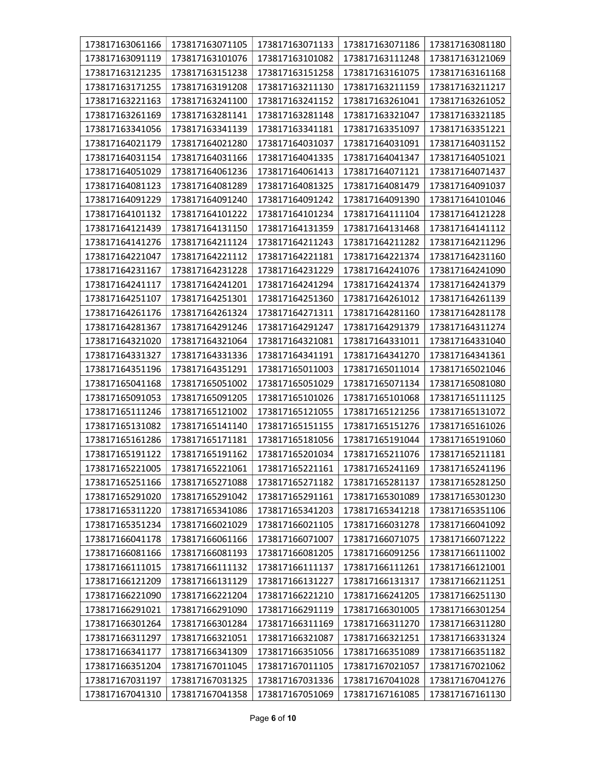| 173817163061166 | 173817163071105 | 173817163071133 | 173817163071186 | 173817163081180 |
|-----------------|-----------------|-----------------|-----------------|-----------------|
| 173817163091119 | 173817163101076 | 173817163101082 | 173817163111248 | 173817163121069 |
| 173817163121235 | 173817163151238 | 173817163151258 | 173817163161075 | 173817163161168 |
| 173817163171255 | 173817163191208 | 173817163211130 | 173817163211159 | 173817163211217 |
| 173817163221163 | 173817163241100 | 173817163241152 | 173817163261041 | 173817163261052 |
| 173817163261169 | 173817163281141 | 173817163281148 | 173817163321047 | 173817163321185 |
| 173817163341056 | 173817163341139 | 173817163341181 | 173817163351097 | 173817163351221 |
| 173817164021179 | 173817164021280 | 173817164031037 | 173817164031091 | 173817164031152 |
| 173817164031154 | 173817164031166 | 173817164041335 | 173817164041347 | 173817164051021 |
| 173817164051029 | 173817164061236 | 173817164061413 | 173817164071121 | 173817164071437 |
| 173817164081123 | 173817164081289 | 173817164081325 | 173817164081479 | 173817164091037 |
| 173817164091229 | 173817164091240 | 173817164091242 | 173817164091390 | 173817164101046 |
| 173817164101132 | 173817164101222 | 173817164101234 | 173817164111104 | 173817164121228 |
| 173817164121439 | 173817164131150 | 173817164131359 | 173817164131468 | 173817164141112 |
| 173817164141276 | 173817164211124 | 173817164211243 | 173817164211282 | 173817164211296 |
| 173817164221047 | 173817164221112 | 173817164221181 | 173817164221374 | 173817164231160 |
| 173817164231167 | 173817164231228 | 173817164231229 | 173817164241076 | 173817164241090 |
| 173817164241117 | 173817164241201 | 173817164241294 | 173817164241374 | 173817164241379 |
| 173817164251107 | 173817164251301 | 173817164251360 | 173817164261012 | 173817164261139 |
| 173817164261176 | 173817164261324 | 173817164271311 | 173817164281160 | 173817164281178 |
| 173817164281367 | 173817164291246 | 173817164291247 | 173817164291379 | 173817164311274 |
| 173817164321020 | 173817164321064 | 173817164321081 | 173817164331011 | 173817164331040 |
| 173817164331327 | 173817164331336 | 173817164341191 | 173817164341270 | 173817164341361 |
| 173817164351196 | 173817164351291 | 173817165011003 | 173817165011014 | 173817165021046 |
| 173817165041168 | 173817165051002 | 173817165051029 | 173817165071134 | 173817165081080 |
| 173817165091053 | 173817165091205 | 173817165101026 | 173817165101068 | 173817165111125 |
| 173817165111246 | 173817165121002 | 173817165121055 | 173817165121256 | 173817165131072 |
| 173817165131082 | 173817165141140 | 173817165151155 | 173817165151276 | 173817165161026 |
| 173817165161286 | 173817165171181 | 173817165181056 | 173817165191044 | 173817165191060 |
| 173817165191122 | 173817165191162 | 173817165201034 | 173817165211076 | 173817165211181 |
| 173817165221005 | 173817165221061 | 173817165221161 | 173817165241169 | 173817165241196 |
| 173817165251166 | 173817165271088 | 173817165271182 | 173817165281137 | 173817165281250 |
| 173817165291020 | 173817165291042 | 173817165291161 | 173817165301089 | 173817165301230 |
| 173817165311220 | 173817165341086 | 173817165341203 | 173817165341218 | 173817165351106 |
| 173817165351234 | 173817166021029 | 173817166021105 | 173817166031278 | 173817166041092 |
| 173817166041178 | 173817166061166 | 173817166071007 | 173817166071075 | 173817166071222 |
| 173817166081166 | 173817166081193 | 173817166081205 | 173817166091256 | 173817166111002 |
| 173817166111015 | 173817166111132 | 173817166111137 | 173817166111261 | 173817166121001 |
| 173817166121209 | 173817166131129 | 173817166131227 | 173817166131317 | 173817166211251 |
| 173817166221090 | 173817166221204 | 173817166221210 | 173817166241205 | 173817166251130 |
| 173817166291021 | 173817166291090 | 173817166291119 | 173817166301005 | 173817166301254 |
| 173817166301264 | 173817166301284 | 173817166311169 | 173817166311270 | 173817166311280 |
| 173817166311297 | 173817166321051 | 173817166321087 | 173817166321251 | 173817166331324 |
| 173817166341177 | 173817166341309 | 173817166351056 | 173817166351089 | 173817166351182 |
| 173817166351204 | 173817167011045 | 173817167011105 | 173817167021057 | 173817167021062 |
| 173817167031197 | 173817167031325 | 173817167031336 | 173817167041028 | 173817167041276 |
| 173817167041310 | 173817167041358 | 173817167051069 | 173817167161085 | 173817167161130 |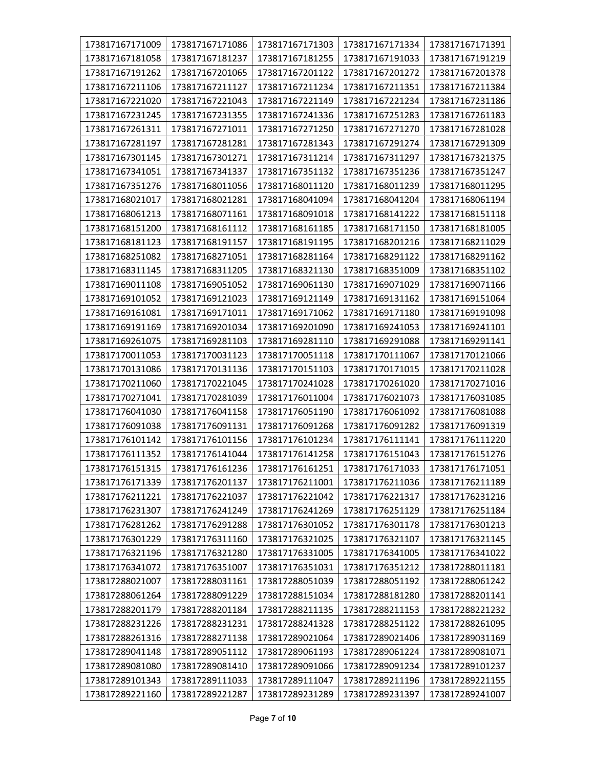| 173817167171009 | 173817167171086 | 173817167171303 | 173817167171334 | 173817167171391 |
|-----------------|-----------------|-----------------|-----------------|-----------------|
| 173817167181058 | 173817167181237 | 173817167181255 | 173817167191033 | 173817167191219 |
| 173817167191262 | 173817167201065 | 173817167201122 | 173817167201272 | 173817167201378 |
| 173817167211106 | 173817167211127 | 173817167211234 | 173817167211351 | 173817167211384 |
| 173817167221020 | 173817167221043 | 173817167221149 | 173817167221234 | 173817167231186 |
| 173817167231245 | 173817167231355 | 173817167241336 | 173817167251283 | 173817167261183 |
| 173817167261311 | 173817167271011 | 173817167271250 | 173817167271270 | 173817167281028 |
| 173817167281197 | 173817167281281 | 173817167281343 | 173817167291274 | 173817167291309 |
| 173817167301145 | 173817167301271 | 173817167311214 | 173817167311297 | 173817167321375 |
| 173817167341051 | 173817167341337 | 173817167351132 | 173817167351236 | 173817167351247 |
| 173817167351276 | 173817168011056 | 173817168011120 | 173817168011239 | 173817168011295 |
| 173817168021017 | 173817168021281 | 173817168041094 | 173817168041204 | 173817168061194 |
| 173817168061213 | 173817168071161 | 173817168091018 | 173817168141222 | 173817168151118 |
| 173817168151200 | 173817168161112 | 173817168161185 | 173817168171150 | 173817168181005 |
| 173817168181123 | 173817168191157 | 173817168191195 | 173817168201216 | 173817168211029 |
| 173817168251082 | 173817168271051 | 173817168281164 | 173817168291122 | 173817168291162 |
| 173817168311145 | 173817168311205 | 173817168321130 | 173817168351009 | 173817168351102 |
| 173817169011108 | 173817169051052 | 173817169061130 | 173817169071029 | 173817169071166 |
| 173817169101052 | 173817169121023 | 173817169121149 | 173817169131162 | 173817169151064 |
| 173817169161081 | 173817169171011 | 173817169171062 | 173817169171180 | 173817169191098 |
| 173817169191169 | 173817169201034 | 173817169201090 | 173817169241053 | 173817169241101 |
| 173817169261075 | 173817169281103 | 173817169281110 | 173817169291088 | 173817169291141 |
| 173817170011053 | 173817170031123 | 173817170051118 | 173817170111067 | 173817170121066 |
| 173817170131086 | 173817170131136 | 173817170151103 | 173817170171015 | 173817170211028 |
| 173817170211060 | 173817170221045 | 173817170241028 | 173817170261020 | 173817170271016 |
| 173817170271041 | 173817170281039 | 173817176011004 | 173817176021073 | 173817176031085 |
| 173817176041030 | 173817176041158 | 173817176051190 | 173817176061092 | 173817176081088 |
| 173817176091038 | 173817176091131 | 173817176091268 | 173817176091282 | 173817176091319 |
| 173817176101142 | 173817176101156 | 173817176101234 | 173817176111141 | 173817176111220 |
| 173817176111352 | 173817176141044 | 173817176141258 | 173817176151043 | 173817176151276 |
| 173817176151315 | 173817176161236 | 173817176161251 | 173817176171033 | 173817176171051 |
| 173817176171339 | 173817176201137 | 173817176211001 | 173817176211036 | 173817176211189 |
| 173817176211221 | 173817176221037 | 173817176221042 | 173817176221317 | 173817176231216 |
| 173817176231307 | 173817176241249 | 173817176241269 | 173817176251129 | 173817176251184 |
| 173817176281262 | 173817176291288 | 173817176301052 | 173817176301178 | 173817176301213 |
| 173817176301229 | 173817176311160 | 173817176321025 | 173817176321107 | 173817176321145 |
| 173817176321196 | 173817176321280 | 173817176331005 | 173817176341005 | 173817176341022 |
| 173817176341072 | 173817176351007 | 173817176351031 | 173817176351212 | 173817288011181 |
| 173817288021007 | 173817288031161 | 173817288051039 | 173817288051192 | 173817288061242 |
| 173817288061264 | 173817288091229 | 173817288151034 | 173817288181280 | 173817288201141 |
| 173817288201179 | 173817288201184 | 173817288211135 | 173817288211153 | 173817288221232 |
| 173817288231226 | 173817288231231 | 173817288241328 | 173817288251122 | 173817288261095 |
| 173817288261316 | 173817288271138 | 173817289021064 | 173817289021406 | 173817289031169 |
| 173817289041148 | 173817289051112 | 173817289061193 | 173817289061224 | 173817289081071 |
| 173817289081080 | 173817289081410 | 173817289091066 | 173817289091234 | 173817289101237 |
| 173817289101343 | 173817289111033 | 173817289111047 | 173817289211196 | 173817289221155 |
| 173817289221160 | 173817289221287 | 173817289231289 | 173817289231397 | 173817289241007 |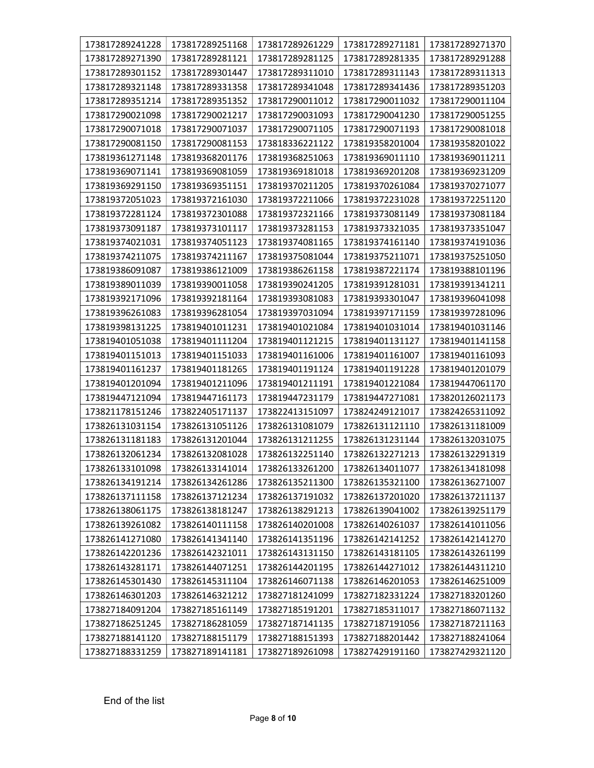| 173817289241228 | 173817289251168 | 173817289261229 | 173817289271181 | 173817289271370 |
|-----------------|-----------------|-----------------|-----------------|-----------------|
| 173817289271390 | 173817289281121 | 173817289281125 | 173817289281335 | 173817289291288 |
| 173817289301152 | 173817289301447 | 173817289311010 | 173817289311143 | 173817289311313 |
| 173817289321148 | 173817289331358 | 173817289341048 | 173817289341436 | 173817289351203 |
| 173817289351214 | 173817289351352 | 173817290011012 | 173817290011032 | 173817290011104 |
| 173817290021098 | 173817290021217 | 173817290031093 | 173817290041230 | 173817290051255 |
| 173817290071018 | 173817290071037 | 173817290071105 | 173817290071193 | 173817290081018 |
| 173817290081150 | 173817290081153 | 173818336221122 | 173819358201004 | 173819358201022 |
| 173819361271148 | 173819368201176 | 173819368251063 | 173819369011110 | 173819369011211 |
| 173819369071141 | 173819369081059 | 173819369181018 | 173819369201208 | 173819369231209 |
| 173819369291150 | 173819369351151 | 173819370211205 | 173819370261084 | 173819370271077 |
| 173819372051023 | 173819372161030 | 173819372211066 | 173819372231028 | 173819372251120 |
| 173819372281124 | 173819372301088 | 173819372321166 | 173819373081149 | 173819373081184 |
| 173819373091187 | 173819373101117 | 173819373281153 | 173819373321035 | 173819373351047 |
| 173819374021031 | 173819374051123 | 173819374081165 | 173819374161140 | 173819374191036 |
| 173819374211075 | 173819374211167 | 173819375081044 | 173819375211071 | 173819375251050 |
| 173819386091087 | 173819386121009 | 173819386261158 | 173819387221174 | 173819388101196 |
| 173819389011039 | 173819390011058 | 173819390241205 | 173819391281031 | 173819391341211 |
| 173819392171096 | 173819392181164 | 173819393081083 | 173819393301047 | 173819396041098 |
| 173819396261083 | 173819396281054 | 173819397031094 | 173819397171159 | 173819397281096 |
| 173819398131225 | 173819401011231 | 173819401021084 | 173819401031014 | 173819401031146 |
| 173819401051038 | 173819401111204 | 173819401121215 | 173819401131127 | 173819401141158 |
| 173819401151013 | 173819401151033 | 173819401161006 | 173819401161007 | 173819401161093 |
| 173819401161237 | 173819401181265 | 173819401191124 | 173819401191228 | 173819401201079 |
| 173819401201094 | 173819401211096 | 173819401211191 | 173819401221084 | 173819447061170 |
| 173819447121094 | 173819447161173 | 173819447231179 | 173819447271081 | 173820126021173 |
| 173821178151246 | 173822405171137 | 173822413151097 | 173824249121017 | 173824265311092 |
| 173826131031154 | 173826131051126 | 173826131081079 | 173826131121110 | 173826131181009 |
| 173826131181183 | 173826131201044 | 173826131211255 | 173826131231144 | 173826132031075 |
| 173826132061234 | 173826132081028 | 173826132251140 | 173826132271213 | 173826132291319 |
| 173826133101098 | 173826133141014 | 173826133261200 | 173826134011077 | 173826134181098 |
| 173826134191214 | 173826134261286 | 173826135211300 | 173826135321100 | 173826136271007 |
| 173826137111158 | 173826137121234 | 173826137191032 | 173826137201020 | 173826137211137 |
| 173826138061175 | 173826138181247 | 173826138291213 | 173826139041002 | 173826139251179 |
| 173826139261082 | 173826140111158 | 173826140201008 | 173826140261037 | 173826141011056 |
| 173826141271080 | 173826141341140 | 173826141351196 | 173826142141252 | 173826142141270 |
| 173826142201236 | 173826142321011 | 173826143131150 | 173826143181105 | 173826143261199 |
| 173826143281171 | 173826144071251 | 173826144201195 | 173826144271012 | 173826144311210 |
| 173826145301430 | 173826145311104 | 173826146071138 | 173826146201053 | 173826146251009 |
| 173826146301203 | 173826146321212 | 173827181241099 | 173827182331224 | 173827183201260 |
| 173827184091204 | 173827185161149 | 173827185191201 | 173827185311017 | 173827186071132 |
| 173827186251245 | 173827186281059 | 173827187141135 | 173827187191056 | 173827187211163 |
| 173827188141120 | 173827188151179 | 173827188151393 | 173827188201442 | 173827188241064 |
| 173827188331259 | 173827189141181 | 173827189261098 | 173827429191160 | 173827429321120 |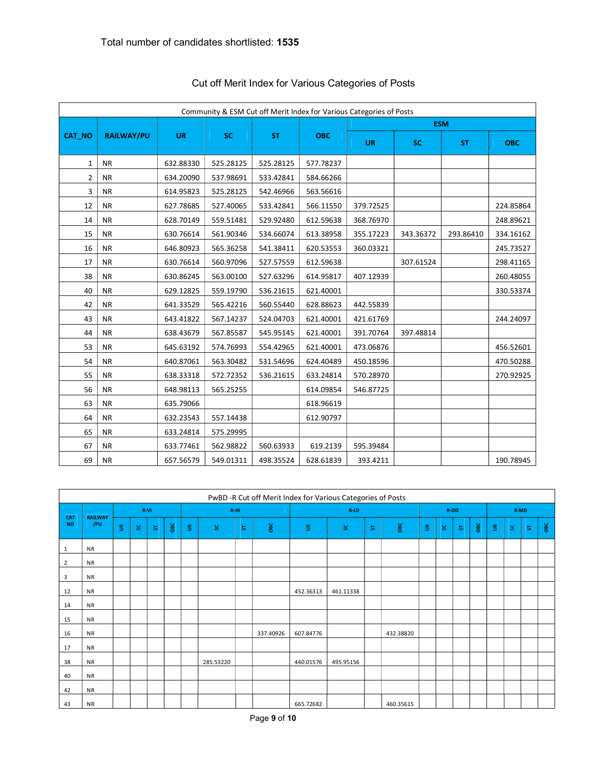|               |                   |           |           |           |            | Community & ESM Cut off Merit Index for Various Categories of Posts |            |           |            |  |
|---------------|-------------------|-----------|-----------|-----------|------------|---------------------------------------------------------------------|------------|-----------|------------|--|
|               |                   |           |           |           |            |                                                                     | <b>ESM</b> |           |            |  |
| <b>CAT NO</b> | <b>RAILWAY/PU</b> | <b>UR</b> | <b>SC</b> | <b>ST</b> | <b>OBC</b> | <b>UR</b>                                                           | <b>SC</b>  | <b>ST</b> | <b>OBC</b> |  |
| $\mathbf{1}$  | <b>NR</b>         | 632.88330 | 525.28125 | 525.28125 | 577.78237  |                                                                     |            |           |            |  |
| 2             | <b>NR</b>         | 634.20090 | 537.98691 | 533.42841 | 584.66266  |                                                                     |            |           |            |  |
| 3             | <b>NR</b>         | 614.95823 | 525.28125 | 542.46966 | 563.56616  |                                                                     |            |           |            |  |
| 12            | <b>NR</b>         | 627.78685 | 527.40065 | 533.42841 | 566.11550  | 379.72525                                                           |            |           | 224.85864  |  |
| 14            | <b>NR</b>         | 628.70149 | 559.51481 | 529.92480 | 612.59638  | 368.76970                                                           |            |           | 248.89621  |  |
| 15            | <b>NR</b>         | 630.76614 | 561.90346 | 534.66074 | 613.38958  | 355.17223                                                           | 343.36372  | 293.86410 | 334.16162  |  |
| 16            | <b>NR</b>         | 646.80923 | 565.36258 | 541.38411 | 620.53553  | 360.03321                                                           |            |           | 245.73527  |  |
| 17            | <b>NR</b>         | 630.76614 | 560.97096 | 527.57559 | 612.59638  |                                                                     | 307.61524  |           | 298.41165  |  |
| 38            | <b>NR</b>         | 630.86245 | 563.00100 | 527.63296 | 614.95817  | 407.12939                                                           |            |           | 260.48055  |  |
| 40            | <b>NR</b>         | 629.12825 | 559.19790 | 536.21615 | 621.40001  |                                                                     |            |           | 330.53374  |  |
| 42            | <b>NR</b>         | 641.33529 | 565.42216 | 560.55440 | 628.88623  | 442.55839                                                           |            |           |            |  |
| 43            | <b>NR</b>         | 643.41822 | 567.14237 | 524.04703 | 621.40001  | 421.61769                                                           |            |           | 244.24097  |  |
| 44            | <b>NR</b>         | 638.43679 | 567.85587 | 545.95145 | 621.40001  | 391.70764                                                           | 397.48814  |           |            |  |
| 53            | <b>NR</b>         | 645.63192 | 574.76993 | 554.42965 | 621.40001  | 473.06876                                                           |            |           | 456.52601  |  |
| 54            | <b>NR</b>         | 640.87061 | 563.30482 | 531.54696 | 624.40489  | 450.18596                                                           |            |           | 470.50288  |  |
| 55            | <b>NR</b>         | 638.33318 | 572.72352 | 536.21615 | 633.24814  | 570.28970                                                           |            |           | 270.92925  |  |
| 56            | <b>NR</b>         | 648.98113 | 565.25255 |           | 614.09854  | 546.87725                                                           |            |           |            |  |
| 63            | <b>NR</b>         | 635.79066 |           |           | 618.96619  |                                                                     |            |           |            |  |
| 64            | <b>NR</b>         | 632.23543 | 557.14438 |           | 612.90797  |                                                                     |            |           |            |  |
| 65            | <b>NR</b>         | 633.24814 | 575.29995 |           |            |                                                                     |            |           |            |  |
| 67            | <b>NR</b>         | 633.77461 | 562.98822 | 560.63933 | 619.2139   | 595.39484                                                           |            |           |            |  |
| 69            | <b>NR</b>         | 657.56579 | 549.01311 | 498.35524 | 628.61839  | 393.4211                                                            |            |           | 190.78945  |  |

# Cut off Merit Index for Various Categories of Posts

|                  | PwBD -R Cut off Merit Index for Various Categories of Posts |             |     |   |                |        |           |   |           |             |           |   |           |             |    |      |              |             |    |             |     |
|------------------|-------------------------------------------------------------|-------------|-----|---|----------------|--------|-----------|---|-----------|-------------|-----------|---|-----------|-------------|----|------|--------------|-------------|----|-------------|-----|
|                  |                                                             | R-VI        |     |   |                | $R-HI$ |           |   |           | $R-LD$      |           |   | $R-OD$    |             |    | R-MD |              |             |    |             |     |
| CAT<br><b>NO</b> | <b>RAILWAY</b><br>/PU                                       | $\mathbf S$ | SC. | 5 | $\mathsf{osc}$ | S.     | 9.        | 5 | овс       | $\mathbb S$ | S.        | ᆔ | OBC       | $\mathbb S$ | S. | 5    | $_{\rm osc}$ | $\mathbb S$ | S. | $5^{\circ}$ | OBC |
| 1                | <b>NR</b>                                                   |             |     |   |                |        |           |   |           |             |           |   |           |             |    |      |              |             |    |             |     |
| $\overline{2}$   | <b>NR</b>                                                   |             |     |   |                |        |           |   |           |             |           |   |           |             |    |      |              |             |    |             |     |
| 3                | <b>NR</b>                                                   |             |     |   |                |        |           |   |           |             |           |   |           |             |    |      |              |             |    |             |     |
| 12               | <b>NR</b>                                                   |             |     |   |                |        |           |   |           | 452.36313   | 461.11338 |   |           |             |    |      |              |             |    |             |     |
| 14               | <b>NR</b>                                                   |             |     |   |                |        |           |   |           |             |           |   |           |             |    |      |              |             |    |             |     |
| 15               | <b>NR</b>                                                   |             |     |   |                |        |           |   |           |             |           |   |           |             |    |      |              |             |    |             |     |
| 16               | <b>NR</b>                                                   |             |     |   |                |        |           |   | 337.40926 | 607.84776   |           |   | 432.38820 |             |    |      |              |             |    |             |     |
| 17               | <b>NR</b>                                                   |             |     |   |                |        |           |   |           |             |           |   |           |             |    |      |              |             |    |             |     |
| 38               | <b>NR</b>                                                   |             |     |   |                |        | 285.53220 |   |           | 440.01576   | 495.95156 |   |           |             |    |      |              |             |    |             |     |
| 40               | <b>NR</b>                                                   |             |     |   |                |        |           |   |           |             |           |   |           |             |    |      |              |             |    |             |     |
| 42               | <b>NR</b>                                                   |             |     |   |                |        |           |   |           |             |           |   |           |             |    |      |              |             |    |             |     |
| 43               | <b>NR</b>                                                   |             |     |   |                |        |           |   |           | 665.72682   |           |   | 460.35615 |             |    |      |              |             |    |             |     |